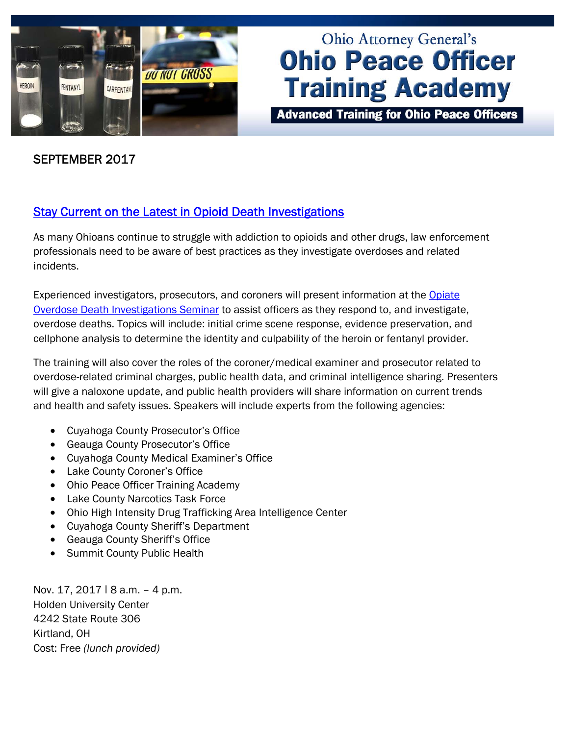

# **Ohio Attorney General's Ohio Peace Officer Training Academy**

**Advanced Training for Ohio Peace Officers** 

## SEPTEMBER 2017

# [Stay Current on the Latest in Opioid Death Investigations](http://www.ohioattorneygeneral.gov/Law-Enforcement/Ohio-Peace-Officer-Training-Academy/Course-Catalog/Course-Search?searchtext=opiate&searchmode=anyword)

As many Ohioans continue to struggle with addiction to opioids and other drugs, law enforcement professionals need to be aware of best practices as they investigate overdoses and related incidents.

Experienced investigators, prosecutors, and coroners will present information at the Opiate Overdose Death Investigations Seminar to assist officers as they respond to, and investigate, overdose deaths. Topics will include: initial crime scene response, evidence preservation, and cellphone analysis to determine the identity and culpability of the heroin or fentanyl provider.

The training will also cover the roles of the coroner/medical examiner and prosecutor related to overdose-related criminal charges, public health data, and criminal intelligence sharing. Presenters will give a naloxone update, and public health providers will share information on current trends and health and safety issues. Speakers will include experts from the following agencies:

- Cuyahoga County Prosecutor's Office
- Geauga County Prosecutor's Office
- Cuyahoga County Medical Examiner's Office
- Lake County Coroner's Office
- Ohio Peace Officer Training Academy
- Lake County Narcotics Task Force
- Ohio High Intensity Drug Trafficking Area Intelligence Center
- Cuyahoga County Sheriff's Department
- Geauga County Sheriff's Office
- **Summit County Public Health**

Nov. 17, 2017 | 8 a.m. - 4 p.m. Holden University Center 4242 State Route 306 Kirtland, OH Cost: Free *(lunch provided)*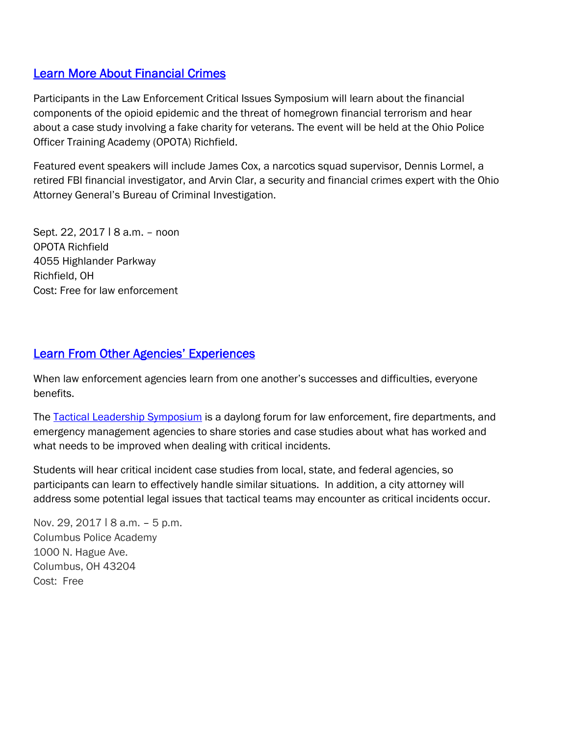## [Learn More About Financial Crimes](http://www.ohioattorneygeneral.gov/Media/Newsletters/Ohio-Peace-Officer-Training-Academy-email-newslett/September-2017/Participants-in-the-Law-Enforcement-Critical-Issue)

Participants in the Law Enforcement Critical Issues Symposium will learn about the financial components of the opioid epidemic and the threat of homegrown financial terrorism and hear about a case study involving a fake charity for veterans. The event will be held at the Ohio Police Officer Training Academy (OPOTA) Richfield.

Featured event speakers will include James Cox, a narcotics squad supervisor, Dennis Lormel, a retired FBI financial investigator, and Arvin Clar, a security and financial crimes expert with the Ohio Attorney General's Bureau of Criminal Investigation.

Sept. 22, 2017 ǀ 8 a.m. – noon OPOTA Richfield 4055 Highlander Parkway Richfield, OH Cost: Free for law enforcement

## [Learn From Other Agencies' Experiences](http://www.ohioattorneygeneral.gov/Law-Enforcement/Ohio-Peace-Officer-Training-Academy/Course-Catalog/Course-Search.aspx?searchtext=leadership&searchmode=anyword)

When law enforcement agencies learn from one another's successes and difficulties, everyone benefits.

The [Tactical Leadership Symposium](http://www.ohioattorneygeneral.gov/Law-Enforcement/Ohio-Peace-Officer-Training-Academy/Course-Catalog/Course-Search.aspx?searchtext=leadership&searchmode=anyword) is a daylong forum for law enforcement, fire departments, and emergency management agencies to share stories and case studies about what has worked and what needs to be improved when dealing with critical incidents.

Students will hear critical incident case studies from local, state, and federal agencies, so participants can learn to effectively handle similar situations. In addition, a city attorney will address some potential legal issues that tactical teams may encounter as critical incidents occur.

Nov. 29, 2017 | 8 a.m. - 5 p.m. Columbus Police Academy 1000 N. Hague Ave. Columbus, OH 43204 Cost: Free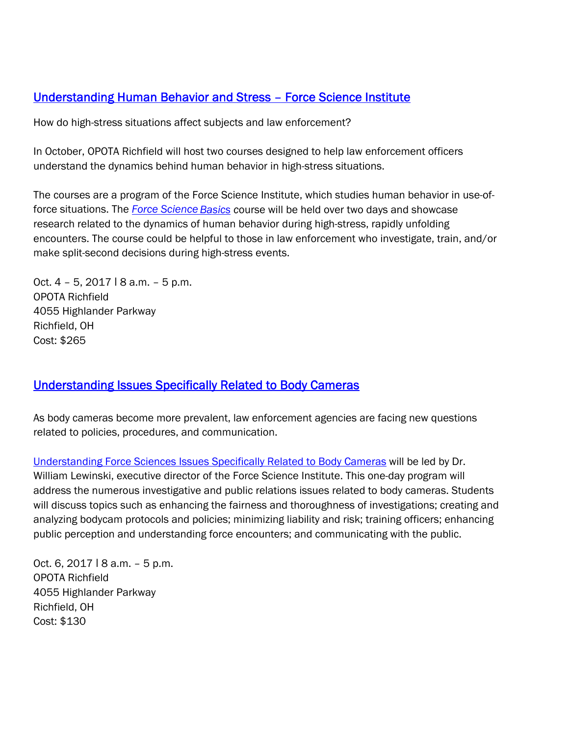## [Understanding Human Behavior and Stress – Force Science Institute](http://www.ohioattorneygeneral.gov/Law-Enforcement/Ohio-Peace-Officer-Training-Academy/Course-Catalog/Course-Categories/Patrol-Courses#OPOTA980)

How do high-stress situations affect subjects and law enforcement?

In October, OPOTA Richfield will host two courses designed to help law enforcement officers understand the dynamics behind human behavior in high-stress situations.

The courses are a program of the Force Science Institute, which studies human behavior in use-offorce situations. The *[Force Science](http://www.ohioattorneygeneral.gov/Law-Enforcement/Ohio-Peace-Officer-Training-Academy/Course-Catalog/Course-Categories/Patrol-Courses#OPOTA980) Basics c*ourse will be held over two days and showcase research related to the dynamics of human behavior during high-stress, rapidly unfolding encounters. The course could be helpful to those in law enforcement who investigate, train, and/or make split-second decisions during high-stress events.

Oct.  $4 - 5$ , 2017  $18$  a.m.  $-5$  p.m. OPOTA Richfield 4055 Highlander Parkway Richfield, OH Cost: \$265

#### [Understanding Issues Specifically Related to Body Cameras](http://www.ohioattorneygeneral.gov/Law-Enforcement/Ohio-Peace-Officer-Training-Academy/Course-Catalog/Course-Categories/Patrol-Courses#OPOTA981)

As body cameras become more prevalent, law enforcement agencies are facing new questions related to policies, procedures, and communication.

[Understanding Force Sciences Issues Specifically Related to Body Cameras](http://www.ohioattorneygeneral.gov/Law-Enforcement/Ohio-Peace-Officer-Training-Academy/Course-Catalog/Course-Categories/Patrol-Courses#OPOTA981) will be led by Dr. William Lewinski, executive director of the Force Science Institute. This one-day program will address the numerous investigative and public relations issues related to body cameras. Students will discuss topics such as enhancing the fairness and thoroughness of investigations; creating and analyzing bodycam protocols and policies; minimizing liability and risk; training officers; enhancing public perception and understanding force encounters; and communicating with the public.

Oct. 6, 2017 ǀ 8 a.m. – 5 p.m. OPOTA Richfield 4055 Highlander Parkway Richfield, OH Cost: \$130